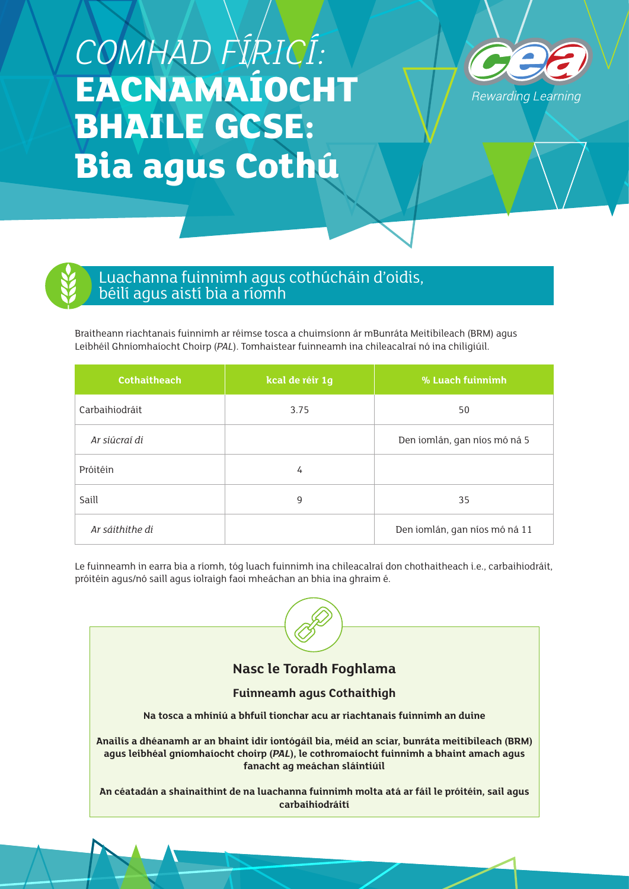## *COMHAD FÍRICÍ:*  **EACNAMAÍOCHT BHAILE GCSE: Bia agus Cothú**





## Luachanna fuinnimh agus cothúcháin d'oidis, béilí agus aistí bia a ríomh

Braitheann riachtanais fuinnimh ar réimse tosca a chuimsíonn ár mBunráta Meitibileach (BRM) agus Leibhéil Ghníomhaíocht Choirp (*PAL*). Tomhaistear fuinneamh ina chileacalraí nó ina chiligiúil.

| <b>Cothaitheach</b> | kcal de réir 1g              | % Luach fuinnimh              |
|---------------------|------------------------------|-------------------------------|
| Carbaihiodráit      | 3.75                         | 50                            |
| Ar siúcraí di       | Den iomlán, gan níos mó ná 5 |                               |
| Próitéin            | 4                            |                               |
| Saill               | 9                            | 35                            |
| Ar sáithithe di     |                              | Den iomlán, gan níos mó ná 11 |

Le fuinneamh in earra bia a ríomh, tóg luach fuinnimh ina chileacalraí don chothaitheach i.e., carbaihiodráit, próitéin agus/nó saill agus iolraigh faoi mheáchan an bhia ina ghraim é.